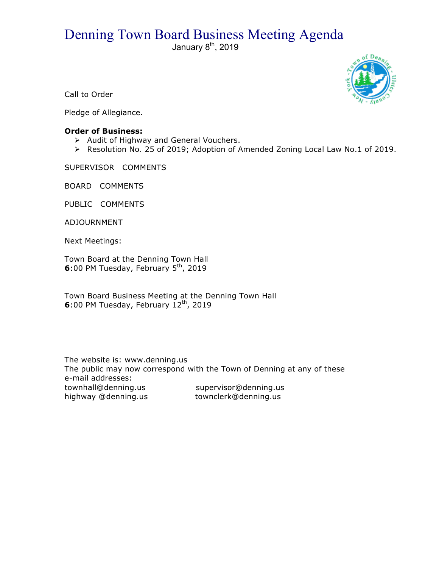# Denning Town Board Business Meeting Agenda

January  $8<sup>th</sup>$ , 2019



Call to Order

Pledge of Allegiance.

## **Order of Business:**

- > Audit of Highway and General Vouchers.
- ! Resolution No. 25 of 2019; Adoption of Amended Zoning Local Law No.1 of 2019.

SUPERVISOR COMMENTS

BOARD COMMENTS

PUBLIC COMMENTS

ADJOURNMENT

Next Meetings:

Town Board at the Denning Town Hall **6**:00 PM Tuesday, February 5<sup>th</sup>, 2019

Town Board Business Meeting at the Denning Town Hall **6**:00 PM Tuesday, February 12<sup>th</sup>, 2019

The website is: www.denning.us The public may now correspond with the Town of Denning at any of these e-mail addresses: townhall@denning.us supervisor@denning.us highway @denning.us townclerk@denning.us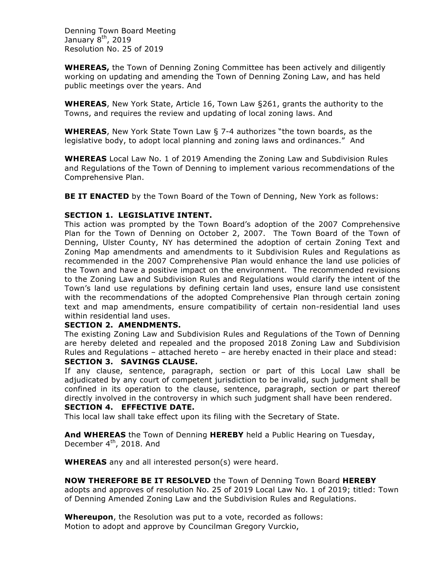Denning Town Board Meeting January  $8<sup>th</sup>$ , 2019 Resolution No. 25 of 2019

**WHEREAS,** the Town of Denning Zoning Committee has been actively and diligently working on updating and amending the Town of Denning Zoning Law, and has held public meetings over the years. And

**WHEREAS**, New York State, Article 16, Town Law §261, grants the authority to the Towns, and requires the review and updating of local zoning laws. And

**WHEREAS**, New York State Town Law § 7-4 authorizes "the town boards, as the legislative body, to adopt local planning and zoning laws and ordinances." And

**WHEREAS** Local Law No. 1 of 2019 Amending the Zoning Law and Subdivision Rules and Regulations of the Town of Denning to implement various recommendations of the Comprehensive Plan.

**BE IT ENACTED** by the Town Board of the Town of Denning, New York as follows:

## **SECTION 1. LEGISLATIVE INTENT.**

This action was prompted by the Town Board's adoption of the 2007 Comprehensive Plan for the Town of Denning on October 2, 2007. The Town Board of the Town of Denning, Ulster County, NY has determined the adoption of certain Zoning Text and Zoning Map amendments and amendments to it Subdivision Rules and Regulations as recommended in the 2007 Comprehensive Plan would enhance the land use policies of the Town and have a positive impact on the environment. The recommended revisions to the Zoning Law and Subdivision Rules and Regulations would clarify the intent of the Town's land use regulations by defining certain land uses, ensure land use consistent with the recommendations of the adopted Comprehensive Plan through certain zoning text and map amendments, ensure compatibility of certain non-residential land uses within residential land uses.

### **SECTION 2. AMENDMENTS.**

The existing Zoning Law and Subdivision Rules and Regulations of the Town of Denning are hereby deleted and repealed and the proposed 2018 Zoning Law and Subdivision Rules and Regulations – attached hereto – are hereby enacted in their place and stead:

### **SECTION 3. SAVINGS CLAUSE.**

If any clause, sentence, paragraph, section or part of this Local Law shall be adjudicated by any court of competent jurisdiction to be invalid, such judgment shall be confined in its operation to the clause, sentence, paragraph, section or part thereof directly involved in the controversy in which such judgment shall have been rendered.

#### **SECTION 4. EFFECTIVE DATE.**

This local law shall take effect upon its filing with the Secretary of State.

**And WHEREAS** the Town of Denning **HEREBY** held a Public Hearing on Tuesday, December 4<sup>th</sup>, 2018. And

**WHEREAS** any and all interested person(s) were heard.

### **NOW THEREFORE BE IT RESOLVED** the Town of Denning Town Board **HEREBY**

adopts and approves of resolution No. 25 of 2019 Local Law No. 1 of 2019; titled: Town of Denning Amended Zoning Law and the Subdivision Rules and Regulations.

**Whereupon**, the Resolution was put to a vote, recorded as follows: Motion to adopt and approve by Councilman Gregory Vurckio,